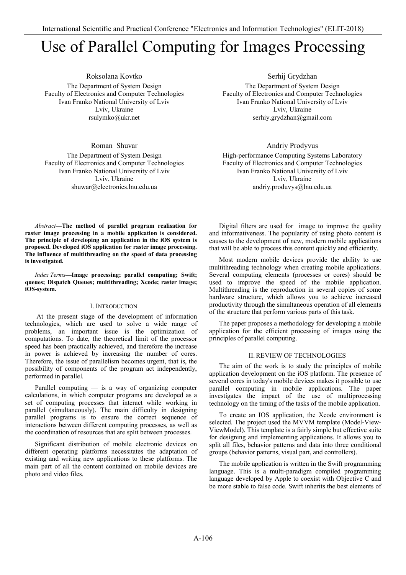# Use of Parallel Computing for Images Processing

Roksolana Kovtko The Department of System Design Faculty of Electronics and Computer Technologies Ivan Franko National University of Lviv Lviv, Ukraine rsulymko@ukr.net

Roman Shuvar

The Department of System Design Faculty of Electronics and Computer Technologies Ivan Franko National University of Lviv Lviv, Ukraine shuwar@electronics.lnu.edu.ua

Serhij Grydzhan The Department of System Design Faculty of Electronics and Computer Technologies Ivan Franko National University of Lviv Lviv, Ukraine serhiy.grydzhan@gmail.com

# Andriy Prodyvus

High-performance Computing Systems Laboratory Faculty of Electronics and Computer Technologies Ivan Franko National University of Lviv Lviv, Ukraine andriy.produvys@lnu.edu.ua

*Abstract—***The method of parallel program realisation for raster image processing in a mobile application is considered. The principle of developing an application in the iOS system is proposed. Developed iOS application for raster image processing. The influence of multithreading on the speed of data processing is investigated.**

*Index Terms***—Image processing; parallel computing; Swift; queues; Dispatch Queues; multithreading; Xcode; raster image; iOS-system.**

#### I. INTRODUCTION

 At the present stage of the development of information technologies, which are used to solve a wide range of problems, an important issue is the optimization of computations. To date, the theoretical limit of the processor speed has been practically achieved, and therefore the increase in power is achieved by increasing the number of cores. Therefore, the issue of parallelism becomes urgent, that is, the possibility of components of the program act independently, performed in parallel.

Parallel computing — is a way of organizing computer calculations, in which computer programs are developed as a set of computing processes that interact while working in parallel (simultaneously). The main difficulty in designing parallel programs is to ensure the correct sequence of interactions between different computing processes, as well as the coordination of resources that are split between processes.

Significant distribution of mobile electronic devices on different operating platforms necessitates the adaptation of existing and writing new applications to these platforms. The main part of all the content contained on mobile devices are photo and video files.

Digital filters are used for image to improve the quality and informativeness. The popularity of using photo content is causes to the development of new, modern mobile applications that will be able to process this content quickly and efficiently.

Most modern mobile devices provide the ability to use multithreading technology when creating mobile applications. Several computing elements (processes or cores) should be used to improve the speed of the mobile application. Multithreading is the reproduction in several copies of some hardware structure, which allows you to achieve increased productivity through the simultaneous operation of all elements of the structure that perform various parts of this task.

The paper proposes a methodology for developing a mobile application for the efficient processing of images using the principles of parallel computing.

### II.REVIEW OF TECHNOLOGIES

The aim of the work is to study the principles of mobile application development on the iOS platform. The presence of several cores in today's mobile devices makes it possible to use parallel computing in mobile applications. The paper investigates the impact of the use of multiprocessing technology on the timing of the tasks of the mobile application.

To create an IOS application, the Xcode environment is selected. The project used the MVVM template (Model-View-ViewModel). This template is a fairly simple but effective suite for designing and implementing applications. It allows you to split all files, behavior patterns and data into three conditional groups (behavior patterns, visual part, and controllers).

The mobile application is written in the Swift programming language. This is a multi-paradigm compiled programming language developed by Apple to coexist with Objective C and be more stable to false code. Swift inherits the best elements of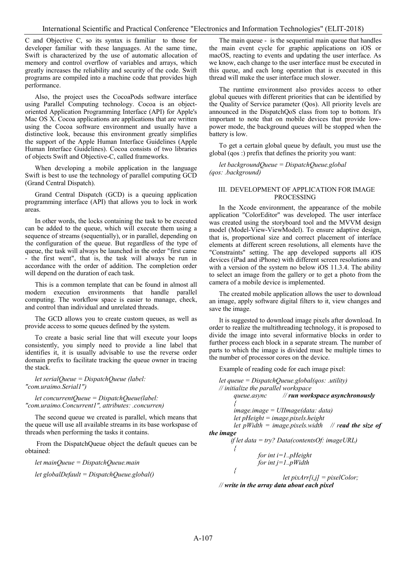C and Objective C, so its syntax is familiar to those for developer familiar with these languages. At the same time, Swift is characterized by the use of automatic allocation of memory and control overflow of variables and arrays, which greatly increases the reliability and security of the code. Swift programs are compiled into a machine code that provides high performance.

Also, the project uses the CocoaPods software interface using Parallel Computing technology. Cocoa is an objectoriented Application Programming Interface (API) for Apple's Mac OS X. Cocoa applications are applications that are written using the Cocoa software environment and usually have a distinctive look, because this environment greatly simplifies the support of the Apple Human Interface Guidelines (Apple Human Interface Guidelines). Cocoa consists of two libraries of objects Swift and Objective-C, called frameworks.

When developing a mobile application in the language Swift is best to use the technology of parallel computing GCD (Grand Central Dispatch).

Grand Central Dispatch (GCD) is a queuing application programming interface (API) that allows you to lock in work areas.

In other words, the locks containing the task to be executed can be added to the queue, which will execute them using a sequence of streams (sequentially), or in parallel, depending on the configuration of the queue. But regardless of the type of queue, the task will always be launched in the order "first came - the first went", that is, the task will always be run in accordance with the order of addition. The completion order will depend on the duration of each task.

This is a common template that can be found in almost all modern execution environments that handle parallel computing. The workflow space is easier to manage, check, and control than individual and unrelated threads.

The GCD allows you to create custom queues, as well as provide access to some queues defined by the system.

To create a basic serial line that will execute your loops consistently, you simply need to provide a line label that identifies it, it is usually advisable to use the reverse order domain prefix to facilitate tracking the queue owner in tracing the stack.

*let serialQueue = DispatchQueue (label: "com.uraimo.Serial1")*

*let concurrentQueue = DispatchQueue(label: "com.uraimo.Concurrent1", attributes: .concurren)* 

The second queue we created is parallel, which means that the queue will use all available streams in its base workspase of threads when performing the tasks it contains.

 From the DispatchQueue object the default queues can be obtained:

*let mainQueue = DispatchQueue.main let globalDefault = DispatchQueue.global()* 

The main queue - is the sequential main queue that handles the main event cycle for graphic applications on iOS or macOS, reacting to events and updating the user interface. As we know, each change to the user interface must be executed in this queue, and each long operation that is executed in this thread will make the user interface much slower.

The runtime environment also provides access to other global queues with different priorities that can be identified by the Quality of Service parameter (Qos). All priority levels are announced in the DispatchQoS class from top to bottom. It's important to note that on mobile devices that provide lowpower mode, the background queues will be stopped when the battery is low.

To get a certain global queue by default, you must use the global (qos :) prefix that defines the priority you want:

*let backgroundQueue = DispatchQueue.global (qos: .background)*

#### III. DEVELOPMENT OF APPLICATION FOR IMAGE PROCESSING

In the Xcode environment, the appearance of the mobile application "ColorEditor" was developed. The user interface was created using the storyboard tool and the MVVM design model (Model-View-ViewModel). To ensure adaptive design, that is, proportional size and correct placement of interface elements at different screen resolutions, all elements have the "Constraints" setting. The app developed supports all iOS devices (iPad and iPhone) with different screen resolutions and with a version of the system no below iOS 11.3.4. The ability to select an image from the gallery or to get a photo from the camera of a mobile device is implemented.

The created mobile application allows the user to download an image, apply software digital filters to it, view changes and save the image.

It is suggested to download image pixels after download. In order to realize the multithreading technology, it is proposed to divide the image into several informative blocks in order to further process each block in a separate stream. The number of parts to which the image is divided must be multiple times to the number of processor cores on the device.

Example of reading code for each image pixel:

```
let queue = DispatchQueue.global(qos: .utility) 
   // initialize the parallel workspace
                            queue.async // run workspace asynchronously
     { 
          image.image = UIImage(data: data)
          let pHeight = image.pixels.height
          let pWidth = image.pixels.width // read the size of 
the image
         if let data = try? Data(contentsOf: imageURL)
          { 
                   for int i=1..pHeight
                   for int j=1..pWidth
          {
                             let pixArr[i,j] = pixelColor;
```
*// write in the array data about each pixel*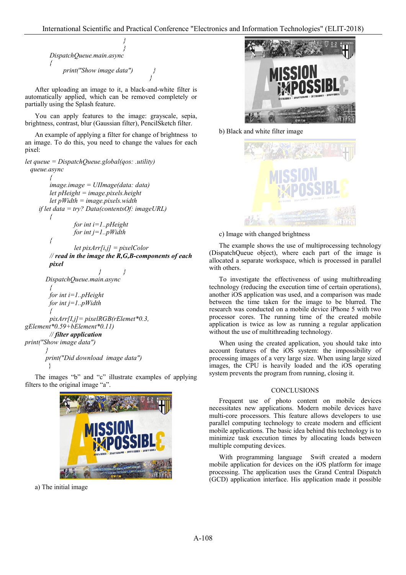```
} 
                              }
 DispatchQueue.main.async 
 {
      print("Show image data") }
```
After uploading an image to it, a black-and-white filter is automatically applied, which can be removed completely or partially using the Splash feature.

 *}*

You can apply features to the image: grayscale, sepia, brightness, contrast, blur (Gaussian filter), PencilSketch filter.

An example of applying a filter for change of brightness to an image. To do this, you need to change the values for each pixel:

```
let queue = DispatchQueue.global(qos: .utility) 
   queue.async 
         {
         image.image = UIImage(data: data)
          let pHeight = image.pixels.height
         let pWidth = image.pixels.width
      if let data = try? Data(contentsOf: imageURL)
         {
                   for int i=1..pHeight
                   for int j=1..pWidth
         {
                  let pixArr[i,j] = pixelColor 
         // read in the image the R,G,B-components of each 
         pixel
                            } }
         DispatchQueue.main.async 
         {
         for int i=1..pHeight
          for int j=1..pWidth
         {
         pixArr[I,j]= pixelRGB(rElemet*0.3, 
gElement*0.59+bElement*0.11)
         // filter application 
print("Show image data")
 }
        print("Did download image data")
    \left\{\begin{array}{c} \end{array}\right\}The images "b" and "c" illustrate examples of applying 
filters to the original image "a".
```


a) The initial image



b) Black and white filter image



c) Image with changed brightness

The example shows the use of multiprocessing technology (DispatchQueue object), where each part of the image is allocated a separate workspace, which is processed in parallel with others.

To investigate the effectiveness of using multithreading technology (reducing the execution time of certain operations), another iOS application was used, and a comparison was made between the time taken for the image to be blurred. The research was conducted on a mobile device iPhone 5 with two processor cores. The running time of the created mobile application is twice as low as running a regular application without the use of multithreading technology.

When using the created application, you should take into account features of the iOS system: the impossibility of processing images of a very large size. When using large sized images, the CPU is heavily loaded and the iOS operating system prevents the program from running, closing it.

# **CONCLUSIONS**

Frequent use of photo content on mobile devices necessitates new applications. Modern mobile devices have multi-core processors. This feature allows developers to use parallel computing technology to create modern and efficient mobile applications. The basic idea behind this technology is to minimize task execution times by allocating loads between multiple computing devices.

With programming language Swift created a modern mobile application for devices on the iOS platform for image processing. The application uses the Grand Central Dispatch (GCD) application interface. His application made it possible